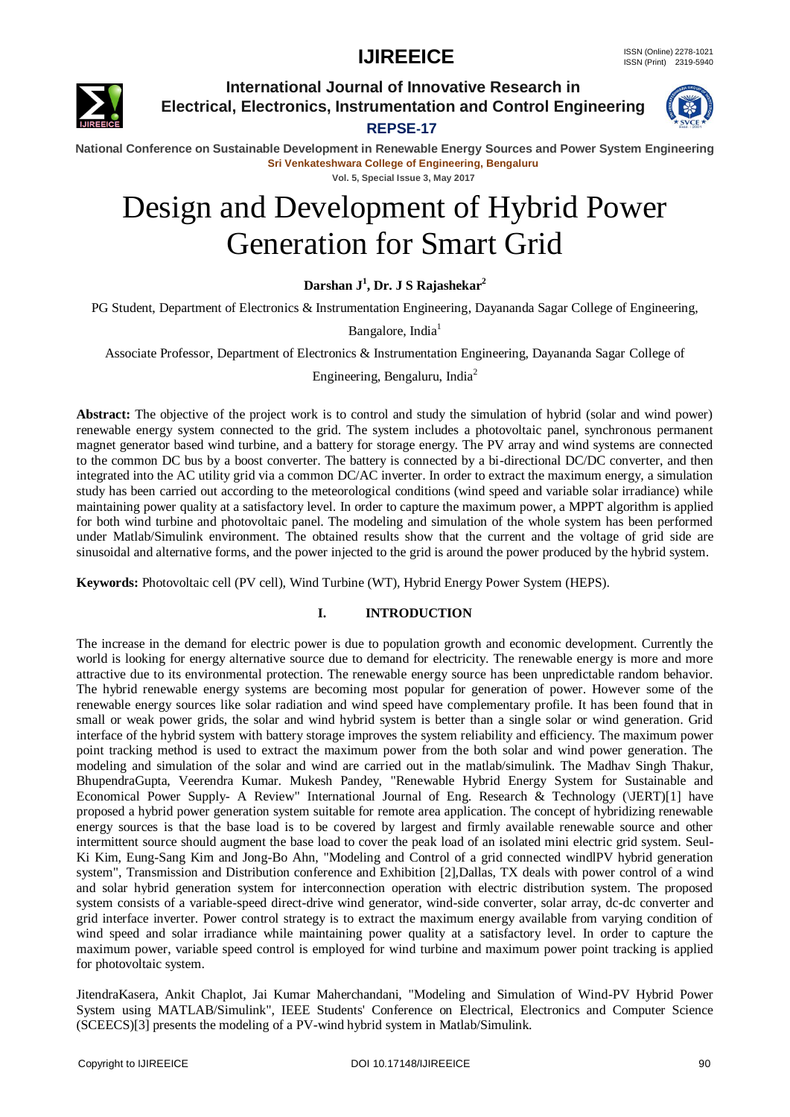

**International Journal of Innovative Research in Electrical, Electronics, Instrumentation and Control Engineering**

### **REPSE-17**



**National Conference on Sustainable Development in Renewable Energy Sources and Power System Engineering Sri Venkateshwara College of Engineering, Bengaluru Vol. 5, Special Issue 3, May 2017**

# Design and Development of Hybrid Power Generation for Smart Grid

**Darshan J<sup>1</sup> , Dr. J S Rajashekar<sup>2</sup>**

PG Student, Department of Electronics & Instrumentation Engineering, Dayananda Sagar College of Engineering,

Bangalore, India<sup>1</sup>

Associate Professor, Department of Electronics & Instrumentation Engineering, Dayananda Sagar College of

Engineering, Bengaluru, India<sup>2</sup>

**Abstract:** The objective of the project work is to control and study the simulation of hybrid (solar and wind power) renewable energy system connected to the grid. The system includes a photovoltaic panel, synchronous permanent magnet generator based wind turbine, and a battery for storage energy. The PV array and wind systems are connected to the common DC bus by a boost converter. The battery is connected by a bi-directional DC/DC converter, and then integrated into the AC utility grid via a common DC/AC inverter. In order to extract the maximum energy, a simulation study has been carried out according to the meteorological conditions (wind speed and variable solar irradiance) while maintaining power quality at a satisfactory level. In order to capture the maximum power, a MPPT algorithm is applied for both wind turbine and photovoltaic panel. The modeling and simulation of the whole system has been performed under Matlab/Simulink environment. The obtained results show that the current and the voltage of grid side are sinusoidal and alternative forms, and the power injected to the grid is around the power produced by the hybrid system.

**Keywords:** Photovoltaic cell (PV cell), Wind Turbine (WT), Hybrid Energy Power System (HEPS).

### **I. INTRODUCTION**

The increase in the demand for electric power is due to population growth and economic development. Currently the world is looking for energy alternative source due to demand for electricity. The renewable energy is more and more attractive due to its environmental protection. The renewable energy source has been unpredictable random behavior. The hybrid renewable energy systems are becoming most popular for generation of power. However some of the renewable energy sources like solar radiation and wind speed have complementary profile. It has been found that in small or weak power grids, the solar and wind hybrid system is better than a single solar or wind generation. Grid interface of the hybrid system with battery storage improves the system reliability and efficiency. The maximum power point tracking method is used to extract the maximum power from the both solar and wind power generation. The modeling and simulation of the solar and wind are carried out in the matlab/simulink. The Madhav Singh Thakur, BhupendraGupta, Veerendra Kumar. Mukesh Pandey, "Renewable Hybrid Energy System for Sustainable and Economical Power Supply- A Review" International Journal of Eng. Research & Technology (\JERT)[1] have proposed a hybrid power generation system suitable for remote area application. The concept of hybridizing renewable energy sources is that the base load is to be covered by largest and firmly available renewable source and other intermittent source should augment the base load to cover the peak load of an isolated mini electric grid system. Seul-Ki Kim, Eung-Sang Kim and Jong-Bo Ahn, "Modeling and Control of a grid connected windlPV hybrid generation system", Transmission and Distribution conference and Exhibition [2],Dallas, TX deals with power control of a wind and solar hybrid generation system for interconnection operation with electric distribution system. The proposed system consists of a variable-speed direct-drive wind generator, wind-side converter, solar array, dc-dc converter and grid interface inverter. Power control strategy is to extract the maximum energy available from varying condition of wind speed and solar irradiance while maintaining power quality at a satisfactory level. In order to capture the maximum power, variable speed control is employed for wind turbine and maximum power point tracking is applied for photovoltaic system.

JitendraKasera, Ankit Chaplot, Jai Kumar Maherchandani, "Modeling and Simulation of Wind-PV Hybrid Power System using MATLAB/Simulink", IEEE Students' Conference on Electrical, Electronics and Computer Science (SCEECS)[3] presents the modeling of a PV-wind hybrid system in Matlab/Simulink.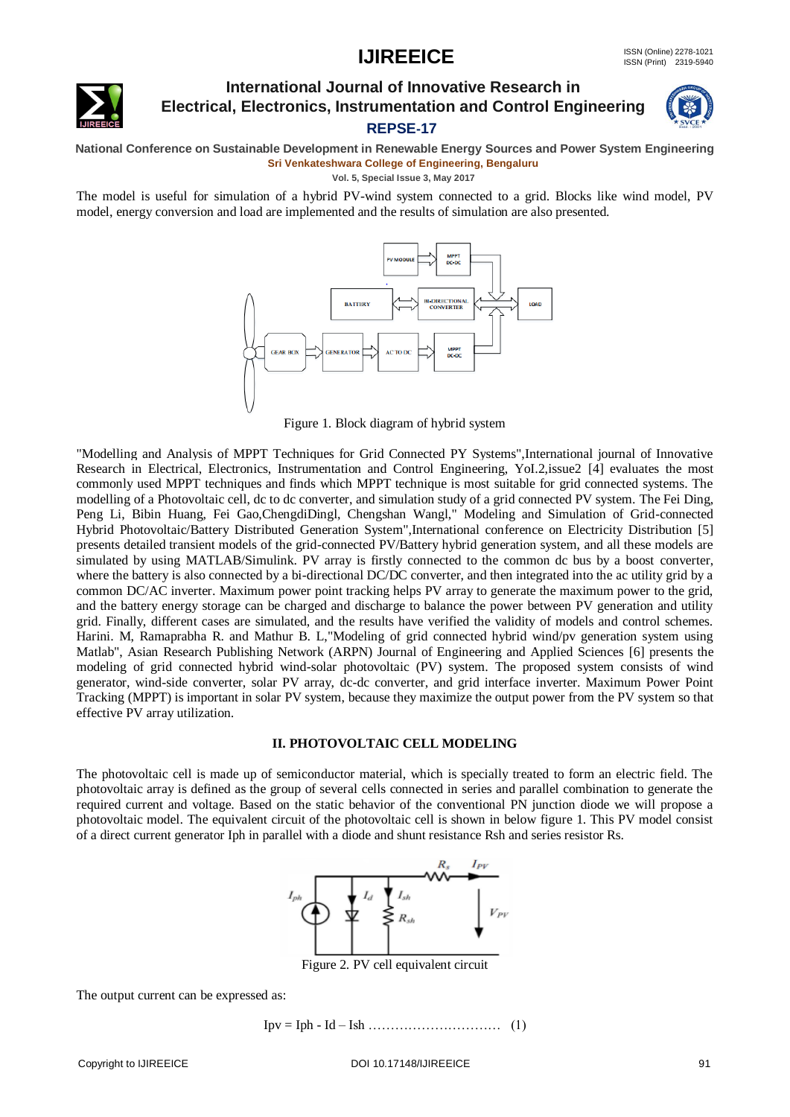

### **International Journal of Innovative Research in Electrical, Electronics, Instrumentation and Control Engineering REPSE-17**



**National Conference on Sustainable Development in Renewable Energy Sources and Power System Engineering Sri Venkateshwara College of Engineering, Bengaluru**

**Vol. 5, Special Issue 3, May 2017**

The model is useful for simulation of a hybrid PV-wind system connected to a grid. Blocks like wind model, PV model, energy conversion and load are implemented and the results of simulation are also presented.



Figure 1. Block diagram of hybrid system

"Modelling and Analysis of MPPT Techniques for Grid Connected PY Systems",International journal of Innovative Research in Electrical, Electronics, Instrumentation and Control Engineering, YoI.2,issue2 [4] evaluates the most commonly used MPPT techniques and finds which MPPT technique is most suitable for grid connected systems. The modelling of a Photovoltaic cell, dc to dc converter, and simulation study of a grid connected PV system. The Fei Ding, Peng Li, Bibin Huang, Fei Gao,ChengdiDingl, Chengshan Wangl," Modeling and Simulation of Grid-connected Hybrid Photovoltaic/Battery Distributed Generation System",International conference on Electricity Distribution [5] presents detailed transient models of the grid-connected PV/Battery hybrid generation system, and all these models are simulated by using MATLAB/Simulink. PV array is firstly connected to the common dc bus by a boost converter, where the battery is also connected by a bi-directional DC/DC converter, and then integrated into the ac utility grid by a common DC/AC inverter. Maximum power point tracking helps PV array to generate the maximum power to the grid, and the battery energy storage can be charged and discharge to balance the power between PV generation and utility grid. Finally, different cases are simulated, and the results have verified the validity of models and control schemes. Harini. M, Ramaprabha R. and Mathur B. L,"Modeling of grid connected hybrid wind/pv generation system using Matlab", Asian Research Publishing Network (ARPN) Journal of Engineering and Applied Sciences [6] presents the modeling of grid connected hybrid wind-solar photovoltaic (PV) system. The proposed system consists of wind generator, wind-side converter, solar PV array, dc-dc converter, and grid interface inverter. Maximum Power Point Tracking (MPPT) is important in solar PV system, because they maximize the output power from the PV system so that effective PV array utilization.

### **II. PHOTOVOLTAIC CELL MODELING**

The photovoltaic cell is made up of semiconductor material, which is specially treated to form an electric field. The photovoltaic array is defined as the group of several cells connected in series and parallel combination to generate the required current and voltage. Based on the static behavior of the conventional PN junction diode we will propose a photovoltaic model. The equivalent circuit of the photovoltaic cell is shown in below figure 1. This PV model consist of a direct current generator Iph in parallel with a diode and shunt resistance Rsh and series resistor Rs.



Figure 2. PV cell equivalent circuit

The output current can be expressed as:

Ipv = Iph - Id – Ish ………………………… (1)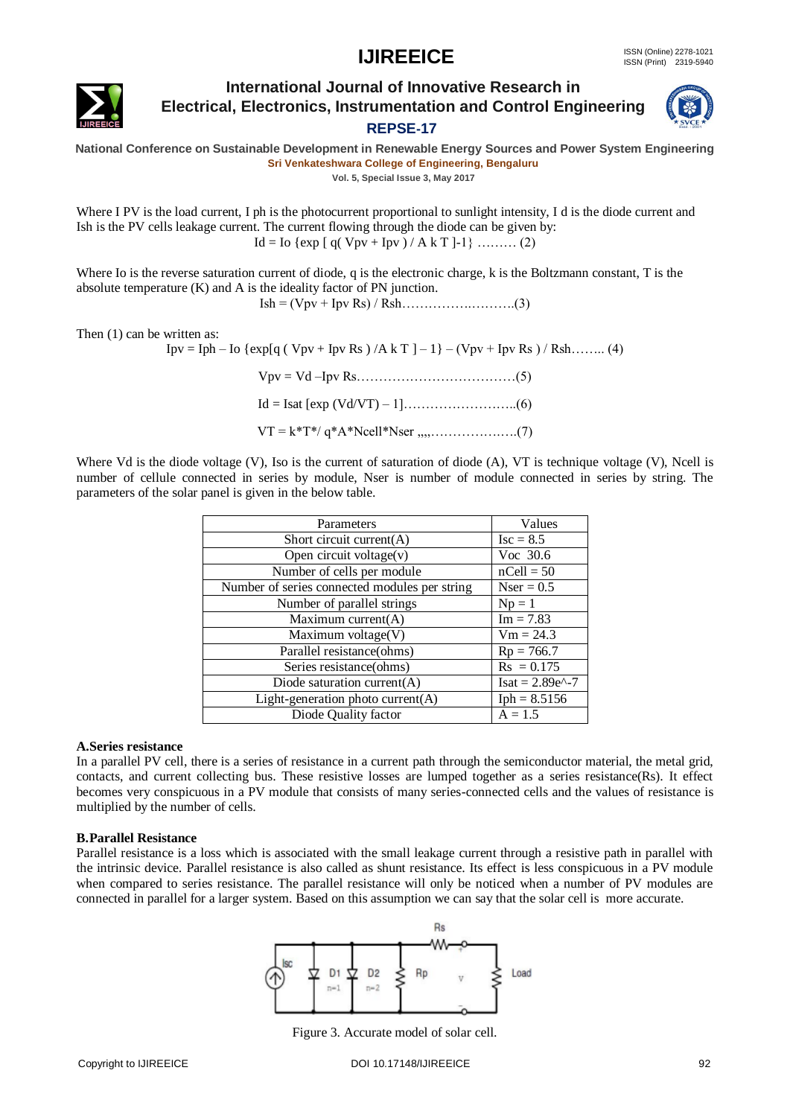

### **International Journal of Innovative Research in Electrical, Electronics, Instrumentation and Control Engineering REPSE-17**



**National Conference on Sustainable Development in Renewable Energy Sources and Power System Engineering Sri Venkateshwara College of Engineering, Bengaluru**

**Vol. 5, Special Issue 3, May 2017**

Where I PV is the load current, I ph is the photocurrent proportional to sunlight intensity, I d is the diode current and Ish is the PV cells leakage current. The current flowing through the diode can be given by:  $Id = Io \{ exp \mid q(Vpy + Ipy) / A k T \} - 1 \}$  ……… (2)

Where Io is the reverse saturation current of diode, q is the electronic charge, k is the Boltzmann constant, T is the absolute temperature (K) and A is the ideality factor of PN junction.

Ish = (Vpv + Ipv Rs) / Rsh…………….……….(3)

Then (1) can be written as:

Ipv = Iph – Io {exp[q ( Vpv + Ipv Rs ) /A k T  $]-1$ } – (Vpv + Ipv Rs ) / Rsh…….. (4)

Vpv = Vd –Ipv Rs………………………………(5) Id = Isat [exp (Vd/VT) – 1]……………………..(6)  $VT = k*T*/(q*A*)$ Ncell\*Nser  $..., \dots$  (7)

Where Vd is the diode voltage (V), Iso is the current of saturation of diode (A), VT is technique voltage (V), Ncell is number of cellule connected in series by module, Nser is number of module connected in series by string. The parameters of the solar panel is given in the below table.

| Parameters                                             | Values                |
|--------------------------------------------------------|-----------------------|
| Short circuit current(A)                               | $\text{Isc} = 8.5$    |
| Open circuit voltage(v)                                | Voc $30.6$            |
| Number of cells per module                             | $nCell = 50$          |
| Number of series connected modules per string          | $Nser = 0.5$          |
| Number of parallel strings                             | $Np = 1$              |
| Maximum current(A)                                     | $Im = 7.83$           |
| Maximum voltage(V)                                     | $Vm = 24.3$           |
| Parallel resistance(ohms)                              | $Rp = 766.7$          |
| Series resistance(ohms)                                | $Rs = 0.175$          |
| Diode saturation current(A)                            | $Isat = 2.89e^{(-7)}$ |
| $\overline{\text{Light}}$ -generation photo current(A) | $Iph = 8.5156$        |
| Diode Quality factor                                   | $A = 1.5$             |

### **A.Series resistance**

In a parallel PV cell, there is a series of resistance in a current path through the semiconductor material, the metal grid, contacts, and current collecting bus. These resistive losses are lumped together as a series resistance(Rs). It effect becomes very conspicuous in a PV module that consists of many series-connected cells and the values of resistance is multiplied by the number of cells.

### **B.Parallel Resistance**

Parallel resistance is a loss which is associated with the small leakage current through a resistive path in parallel with the intrinsic device. Parallel resistance is also called as shunt resistance. Its effect is less conspicuous in a PV module when compared to series resistance. The parallel resistance will only be noticed when a number of PV modules are connected in parallel for a larger system. Based on this assumption we can say that the solar cell is more accurate.



Figure 3. Accurate model of solar cell.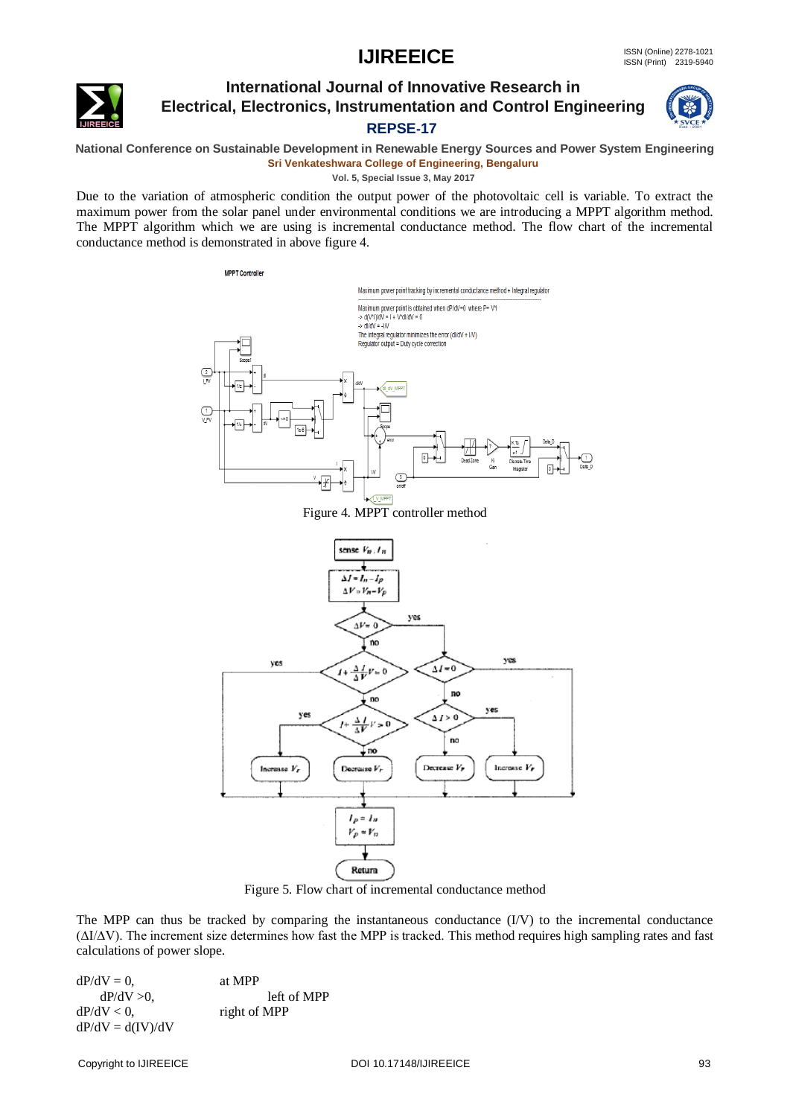

### **International Journal of Innovative Research in Electrical, Electronics, Instrumentation and Control Engineering REPSE-17**



**National Conference on Sustainable Development in Renewable Energy Sources and Power System Engineering Sri Venkateshwara College of Engineering, Bengaluru**

**Vol. 5, Special Issue 3, May 2017**

Due to the variation of atmospheric condition the output power of the photovoltaic cell is variable. To extract the maximum power from the solar panel under environmental conditions we are introducing a MPPT algorithm method. The MPPT algorithm which we are using is incremental conductance method. The flow chart of the incremental conductance method is demonstrated in above figure 4.



Figure 4. MPPT controller method



Figure 5. Flow chart of incremental conductance method

The MPP can thus be tracked by comparing the instantaneous conductance (I/V) to the incremental conductance (∆I/∆V). The increment size determines how fast the MPP is tracked. This method requires high sampling rates and fast calculations of power slope.

 $dP/dV = 0$ , at MPP  $dP/dV > 0$ , left of MPP  $dP/dV < 0$ , right of MPP  $dP/dV = d(IV)/dV$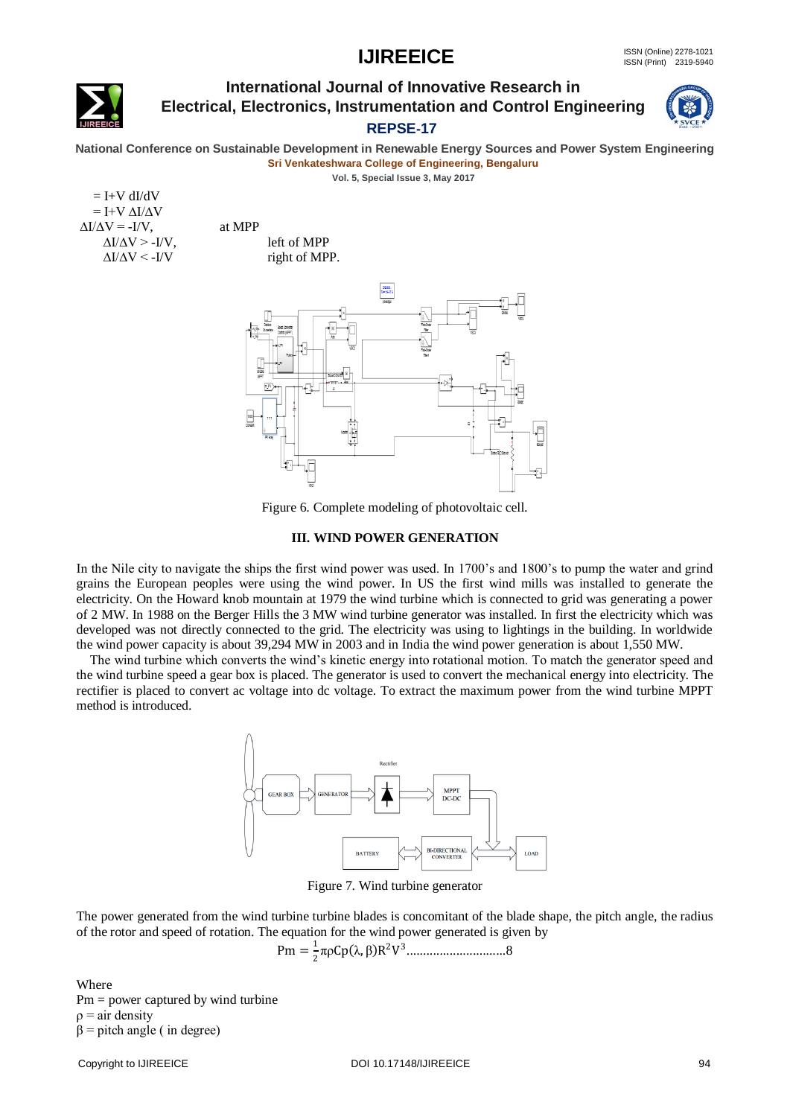

### **International Journal of Innovative Research in Electrical, Electronics, Instrumentation and Control Engineering**



### **REPSE-17**

**National Conference on Sustainable Development in Renewable Energy Sources and Power System Engineering Sri Venkateshwara College of Engineering, Bengaluru**

**Vol. 5, Special Issue 3, May 2017**

 $=$  I+V dI/dV  $=$  I+V  $\Delta I/\Delta V$  $\Delta I/\Delta V = -I/V$ , at MPP



Figure 6. Complete modeling of photovoltaic cell.

#### **III. WIND POWER GENERATION**

In the Nile city to navigate the ships the first wind power was used. In 1700's and 1800's to pump the water and grind grains the European peoples were using the wind power. In US the first wind mills was installed to generate the electricity. On the Howard knob mountain at 1979 the wind turbine which is connected to grid was generating a power of 2 MW. In 1988 on the Berger Hills the 3 MW wind turbine generator was installed. In first the electricity which was developed was not directly connected to the grid. The electricity was using to lightings in the building. In worldwide the wind power capacity is about 39,294 MW in 2003 and in India the wind power generation is about 1,550 MW.

 The wind turbine which converts the wind's kinetic energy into rotational motion. To match the generator speed and the wind turbine speed a gear box is placed. The generator is used to convert the mechanical energy into electricity. The rectifier is placed to convert ac voltage into dc voltage. To extract the maximum power from the wind turbine MPPT method is introduced.



Figure 7. Wind turbine generator

The power generated from the wind turbine turbine blades is concomitant of the blade shape, the pitch angle, the radius of the rotor and speed of rotation. The equation for the wind power generated is given by

Pm = 
$$
\frac{1}{2}
$$
πρCp(λ, β)R<sup>2</sup>V<sup>3</sup>.................8

Where  $Pm = power$  captured by wind turbine  $\rho = \text{air density}$  $\beta$  = pitch angle ( in degree)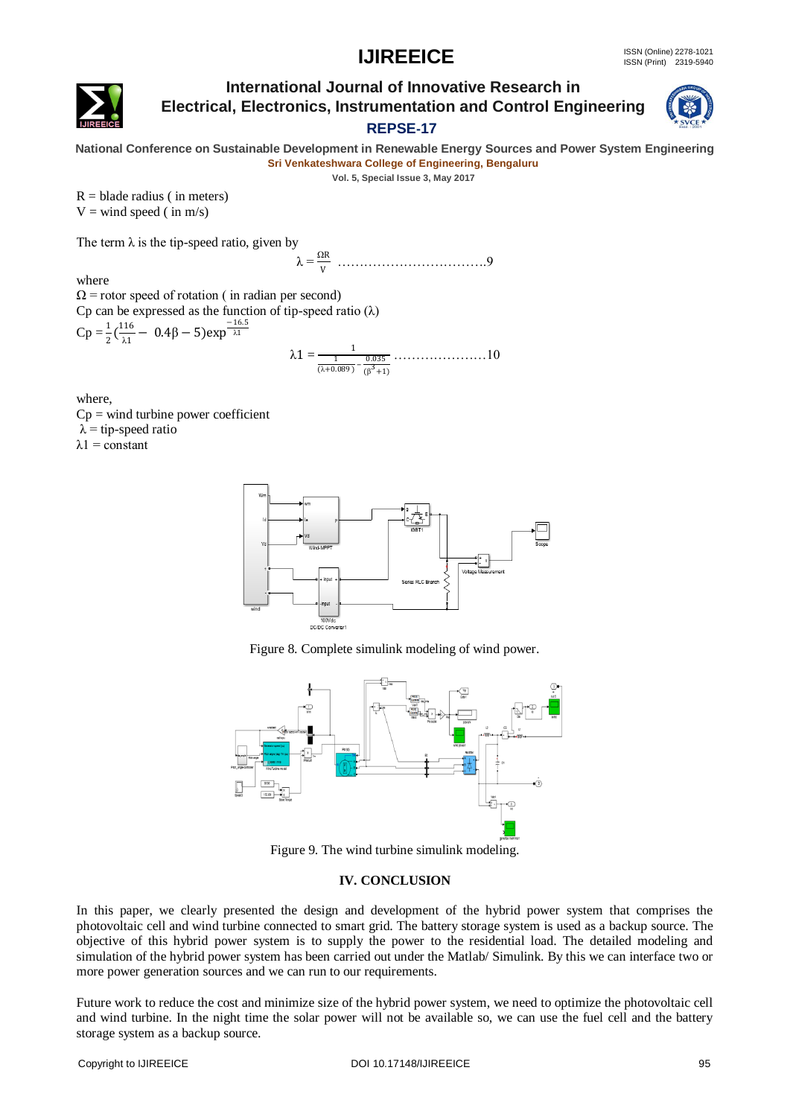

### **International Journal of Innovative Research in Electrical, Electronics, Instrumentation and Control Engineering**



### **REPSE-17**

**National Conference on Sustainable Development in Renewable Energy Sources and Power System Engineering Sri Venkateshwara College of Engineering, Bengaluru**

**Vol. 5, Special Issue 3, May 2017**

 $R =$  blade radius (in meters)  $V =$  wind speed (in m/s)

The term  $\lambda$  is the tip-speed ratio, given by

λ = <sup>Ω</sup><sup>R</sup> V …………………………….9

where

 $\Omega$  = rotor speed of rotation ( in radian per second) Cp can be expressed as the function of tip-speed ratio  $(\lambda)$  $Cp = \frac{1}{2} (\frac{116}{\lambda 1})$  $\frac{116}{\lambda_1}$  – 0.4β – 5)exp<sup> $\frac{-16.5}{\lambda_1}$ </sup>

$$
\lambda\mathbf{1}=\frac{1}{\frac{1}{(\lambda+0.089)}-\frac{0.035}{(\beta^3+1)}}\dots\dots\dots\dots\dots\dots 10
$$

where,

 $Cp =$  wind turbine power coefficient  $\lambda$  = tip-speed ratio  $λ1 = constant$ 



Figure 8. Complete simulink modeling of wind power.



Figure 9. The wind turbine simulink modeling.

### **IV. CONCLUSION**

In this paper, we clearly presented the design and development of the hybrid power system that comprises the photovoltaic cell and wind turbine connected to smart grid. The battery storage system is used as a backup source. The objective of this hybrid power system is to supply the power to the residential load. The detailed modeling and simulation of the hybrid power system has been carried out under the Matlab/ Simulink. By this we can interface two or more power generation sources and we can run to our requirements.

Future work to reduce the cost and minimize size of the hybrid power system, we need to optimize the photovoltaic cell and wind turbine. In the night time the solar power will not be available so, we can use the fuel cell and the battery storage system as a backup source.